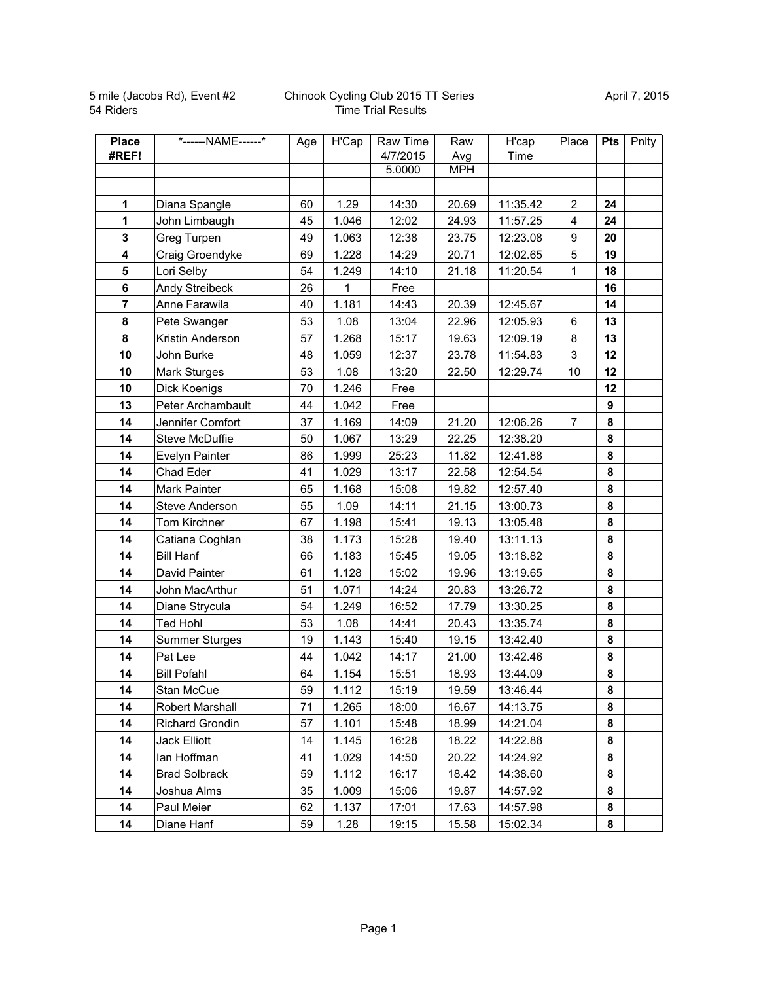| <b>Place</b>   | *------NAME------*     | Age | H'Cap | Raw Time | Raw        | H'cap    | Place            | <b>Pts</b>       | Pnlty |
|----------------|------------------------|-----|-------|----------|------------|----------|------------------|------------------|-------|
| #REF!          |                        |     |       | 4/7/2015 | Avg        | Time     |                  |                  |       |
|                |                        |     |       | 5.0000   | <b>MPH</b> |          |                  |                  |       |
|                |                        |     |       |          |            |          |                  |                  |       |
| 1              | Diana Spangle          | 60  | 1.29  | 14:30    | 20.69      | 11:35.42 | $\overline{2}$   | 24               |       |
| $\mathbf{1}$   | John Limbaugh          | 45  | 1.046 | 12:02    | 24.93      | 11:57.25 | 4                | 24               |       |
| $\mathbf 3$    | Greg Turpen            | 49  | 1.063 | 12:38    | 23.75      | 12:23.08 | $\boldsymbol{9}$ | 20               |       |
| 4              | Craig Groendyke        | 69  | 1.228 | 14:29    | 20.71      | 12:02.65 | 5                | 19               |       |
| 5              | Lori Selby             | 54  | 1.249 | 14:10    | 21.18      | 11:20.54 | $\mathbf{1}$     | 18               |       |
| $6\phantom{a}$ | Andy Streibeck         | 26  | 1     | Free     |            |          |                  | 16               |       |
| $\overline{7}$ | Anne Farawila          | 40  | 1.181 | 14:43    | 20.39      | 12:45.67 |                  | 14               |       |
| 8              | Pete Swanger           | 53  | 1.08  | 13:04    | 22.96      | 12:05.93 | 6                | 13               |       |
| 8              | Kristin Anderson       | 57  | 1.268 | 15:17    | 19.63      | 12:09.19 | 8                | 13               |       |
| 10             | John Burke             | 48  | 1.059 | 12:37    | 23.78      | 11:54.83 | 3                | 12               |       |
| 10             | Mark Sturges           | 53  | 1.08  | 13:20    | 22.50      | 12:29.74 | 10               | 12               |       |
| 10             | Dick Koenigs           | 70  | 1.246 | Free     |            |          |                  | 12               |       |
| 13             | Peter Archambault      | 44  | 1.042 | Free     |            |          |                  | $\boldsymbol{9}$ |       |
| 14             | Jennifer Comfort       | 37  | 1.169 | 14:09    | 21.20      | 12:06.26 | $\overline{7}$   | 8                |       |
| 14             | Steve McDuffie         | 50  | 1.067 | 13:29    | 22.25      | 12:38.20 |                  | 8                |       |
| 14             | Evelyn Painter         | 86  | 1.999 | 25:23    | 11.82      | 12:41.88 |                  | 8                |       |
| 14             | Chad Eder              | 41  | 1.029 | 13:17    | 22.58      | 12:54.54 |                  | 8                |       |
| 14             | Mark Painter           | 65  | 1.168 | 15:08    | 19.82      | 12:57.40 |                  | 8                |       |
| 14             | Steve Anderson         | 55  | 1.09  | 14:11    | 21.15      | 13:00.73 |                  | 8                |       |
| 14             | Tom Kirchner           | 67  | 1.198 | 15:41    | 19.13      | 13:05.48 |                  | 8                |       |
| 14             | Catiana Coghlan        | 38  | 1.173 | 15:28    | 19.40      | 13:11.13 |                  | 8                |       |
| 14             | <b>Bill Hanf</b>       | 66  | 1.183 | 15:45    | 19.05      | 13:18.82 |                  | 8                |       |
| 14             | David Painter          | 61  | 1.128 | 15:02    | 19.96      | 13:19.65 |                  | 8                |       |
| 14             | John MacArthur         | 51  | 1.071 | 14:24    | 20.83      | 13:26.72 |                  | 8                |       |
| 14             | Diane Strycula         | 54  | 1.249 | 16:52    | 17.79      | 13:30.25 |                  | 8                |       |
| 14             | <b>Ted Hohl</b>        | 53  | 1.08  | 14:41    | 20.43      | 13:35.74 |                  | 8                |       |
| 14             | <b>Summer Sturges</b>  | 19  | 1.143 | 15:40    | 19.15      | 13:42.40 |                  | 8                |       |
| 14             | Pat Lee                | 44  | 1.042 | 14:17    | 21.00      | 13:42.46 |                  | 8                |       |
| 14             | <b>Bill Pofahl</b>     | 64  | 1.154 | 15:51    | 18.93      | 13:44.09 |                  | 8                |       |
| 14             | Stan McCue             | 59  | 1.112 | 15:19    | 19.59      | 13:46.44 |                  | 8                |       |
| 14             | Robert Marshall        | 71  | 1.265 | 18:00    | 16.67      | 14:13.75 |                  | 8                |       |
| 14             | <b>Richard Grondin</b> | 57  | 1.101 | 15:48    | 18.99      | 14:21.04 |                  | 8                |       |
| 14             | <b>Jack Elliott</b>    | 14  | 1.145 | 16:28    | 18.22      | 14:22.88 |                  | 8                |       |
| 14             | lan Hoffman            | 41  | 1.029 | 14:50    | 20.22      | 14:24.92 |                  | 8                |       |
| 14             | <b>Brad Solbrack</b>   | 59  | 1.112 | 16:17    | 18.42      | 14:38.60 |                  | 8                |       |
| 14             | Joshua Alms            | 35  | 1.009 | 15:06    | 19.87      | 14:57.92 |                  | 8                |       |
| 14             | Paul Meier             | 62  | 1.137 | 17:01    | 17.63      | 14:57.98 |                  | 8                |       |
| 14             | Diane Hanf             | 59  | 1.28  | 19:15    | 15.58      | 15:02.34 |                  | 8                |       |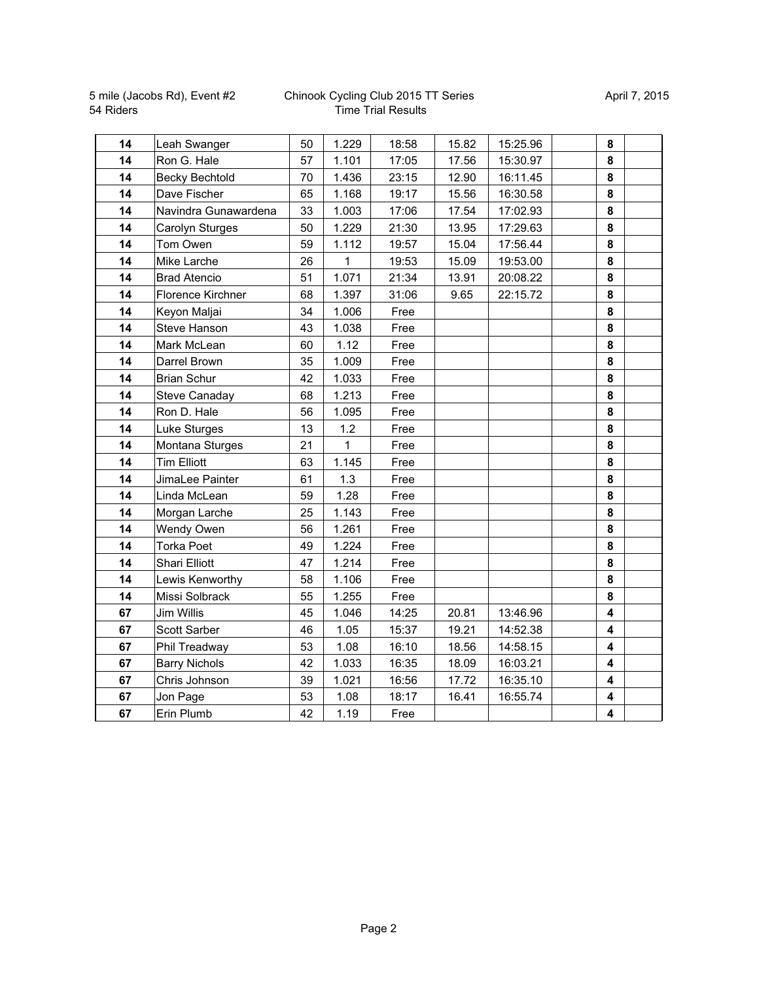| 14 | Leah Swanger          | 50 | 1.229 | 18:58 | 15.82 | 15:25.96 | 8                       |  |
|----|-----------------------|----|-------|-------|-------|----------|-------------------------|--|
| 14 | Ron G. Hale           | 57 | 1.101 | 17:05 | 17.56 | 15:30.97 | 8                       |  |
| 14 | <b>Becky Bechtold</b> | 70 | 1.436 | 23:15 | 12.90 | 16:11.45 | 8                       |  |
| 14 | Dave Fischer          | 65 | 1.168 | 19:17 | 15.56 | 16:30.58 | 8                       |  |
| 14 | Navindra Gunawardena  | 33 | 1.003 | 17:06 | 17.54 | 17:02.93 | 8                       |  |
| 14 | Carolyn Sturges       | 50 | 1.229 | 21:30 | 13.95 | 17:29.63 | 8                       |  |
| 14 | Tom Owen              | 59 | 1.112 | 19:57 | 15.04 | 17:56.44 | 8                       |  |
| 14 | Mike Larche           | 26 | 1     | 19:53 | 15.09 | 19:53.00 | 8                       |  |
| 14 | <b>Brad Atencio</b>   | 51 | 1.071 | 21:34 | 13.91 | 20:08.22 | 8                       |  |
| 14 | Florence Kirchner     | 68 | 1.397 | 31:06 | 9.65  | 22:15.72 | 8                       |  |
| 14 | Keyon Maljai          | 34 | 1.006 | Free  |       |          | 8                       |  |
| 14 | Steve Hanson          | 43 | 1.038 | Free  |       |          | 8                       |  |
| 14 | Mark McLean           | 60 | 1.12  | Free  |       |          | 8                       |  |
| 14 | Darrel Brown          | 35 | 1.009 | Free  |       |          | 8                       |  |
| 14 | <b>Brian Schur</b>    | 42 | 1.033 | Free  |       |          | 8                       |  |
| 14 | Steve Canaday         | 68 | 1.213 | Free  |       |          | 8                       |  |
| 14 | Ron D. Hale           | 56 | 1.095 | Free  |       |          | 8                       |  |
| 14 | Luke Sturges          | 13 | 1.2   | Free  |       |          | 8                       |  |
| 14 | Montana Sturges       | 21 | 1     | Free  |       |          | 8                       |  |
| 14 | <b>Tim Elliott</b>    | 63 | 1.145 | Free  |       |          | 8                       |  |
| 14 | JimaLee Painter       | 61 | 1.3   | Free  |       |          | 8                       |  |
| 14 | Linda McLean          | 59 | 1.28  | Free  |       |          | 8                       |  |
| 14 | Morgan Larche         | 25 | 1.143 | Free  |       |          | 8                       |  |
| 14 | Wendy Owen            | 56 | 1.261 | Free  |       |          | 8                       |  |
| 14 | <b>Torka Poet</b>     | 49 | 1.224 | Free  |       |          | 8                       |  |
| 14 | Shari Elliott         | 47 | 1.214 | Free  |       |          | 8                       |  |
| 14 | Lewis Kenworthy       | 58 | 1.106 | Free  |       |          | 8                       |  |
| 14 | Missi Solbrack        | 55 | 1.255 | Free  |       |          | 8                       |  |
| 67 | Jim Willis            | 45 | 1.046 | 14:25 | 20.81 | 13:46.96 | $\overline{\mathbf{4}}$ |  |
| 67 | Scott Sarber          | 46 | 1.05  | 15:37 | 19.21 | 14:52.38 | 4                       |  |
| 67 | Phil Treadway         | 53 | 1.08  | 16:10 | 18.56 | 14:58.15 | 4                       |  |
| 67 | <b>Barry Nichols</b>  | 42 | 1.033 | 16:35 | 18.09 | 16:03.21 | 4                       |  |
| 67 | Chris Johnson         | 39 | 1.021 | 16:56 | 17.72 | 16:35.10 | 4                       |  |
| 67 | Jon Page              | 53 | 1.08  | 18:17 | 16.41 | 16:55.74 | 4                       |  |
| 67 | Erin Plumb            | 42 | 1.19  | Free  |       |          | 4                       |  |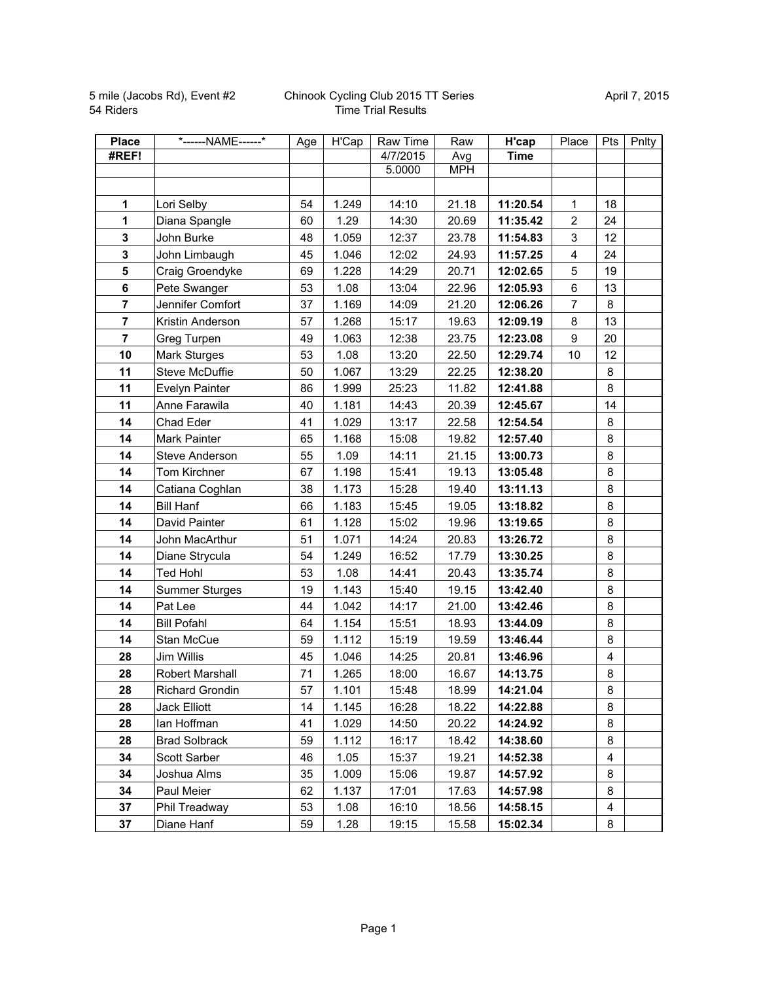| <b>Place</b>   | *------NAME------*    | Age | H'Cap | Raw Time | Raw        | H'cap       | Place          | <b>Pts</b> | Pnlty |
|----------------|-----------------------|-----|-------|----------|------------|-------------|----------------|------------|-------|
| #REF!          |                       |     |       | 4/7/2015 | Avg        | <b>Time</b> |                |            |       |
|                |                       |     |       | 5.0000   | <b>MPH</b> |             |                |            |       |
|                |                       |     |       |          |            |             |                |            |       |
| 1              | Lori Selby            | 54  | 1.249 | 14:10    | 21.18      | 11:20.54    | $\mathbf{1}$   | 18         |       |
| 1              | Diana Spangle         | 60  | 1.29  | 14:30    | 20.69      | 11:35.42    | $\overline{c}$ | 24         |       |
| $\mathbf{3}$   | John Burke            | 48  | 1.059 | 12:37    | 23.78      | 11:54.83    | 3              | 12         |       |
| $\mathbf 3$    | John Limbaugh         | 45  | 1.046 | 12:02    | 24.93      | 11:57.25    | 4              | 24         |       |
| 5              | Craig Groendyke       | 69  | 1.228 | 14:29    | 20.71      | 12:02.65    | 5              | 19         |       |
| $6\phantom{a}$ | Pete Swanger          | 53  | 1.08  | 13:04    | 22.96      | 12:05.93    | 6              | 13         |       |
| $\overline{7}$ | Jennifer Comfort      | 37  | 1.169 | 14:09    | 21.20      | 12:06.26    | $\overline{7}$ | 8          |       |
| $\overline{7}$ | Kristin Anderson      | 57  | 1.268 | 15:17    | 19.63      | 12:09.19    | 8              | 13         |       |
| $\overline{7}$ | Greg Turpen           | 49  | 1.063 | 12:38    | 23.75      | 12:23.08    | 9              | 20         |       |
| 10             | Mark Sturges          | 53  | 1.08  | 13:20    | 22.50      | 12:29.74    | 10             | 12         |       |
| 11             | Steve McDuffie        | 50  | 1.067 | 13:29    | 22.25      | 12:38.20    |                | 8          |       |
| 11             | Evelyn Painter        | 86  | 1.999 | 25:23    | 11.82      | 12:41.88    |                | 8          |       |
| 11             | Anne Farawila         | 40  | 1.181 | 14:43    | 20.39      | 12:45.67    |                | 14         |       |
| 14             | Chad Eder             | 41  | 1.029 | 13:17    | 22.58      | 12:54.54    |                | 8          |       |
| 14             | Mark Painter          | 65  | 1.168 | 15:08    | 19.82      | 12:57.40    |                | 8          |       |
| 14             | Steve Anderson        | 55  | 1.09  | 14:11    | 21.15      | 13:00.73    |                | 8          |       |
| 14             | <b>Tom Kirchner</b>   | 67  | 1.198 | 15:41    | 19.13      | 13:05.48    |                | 8          |       |
| 14             | Catiana Coghlan       | 38  | 1.173 | 15:28    | 19.40      | 13:11.13    |                | 8          |       |
| 14             | <b>Bill Hanf</b>      | 66  | 1.183 | 15:45    | 19.05      | 13:18.82    |                | 8          |       |
| 14             | David Painter         | 61  | 1.128 | 15:02    | 19.96      | 13:19.65    |                | 8          |       |
| 14             | John MacArthur        | 51  | 1.071 | 14:24    | 20.83      | 13:26.72    |                | 8          |       |
| 14             | Diane Strycula        | 54  | 1.249 | 16:52    | 17.79      | 13:30.25    |                | 8          |       |
| 14             | <b>Ted Hohl</b>       | 53  | 1.08  | 14:41    | 20.43      | 13:35.74    |                | 8          |       |
| 14             | <b>Summer Sturges</b> | 19  | 1.143 | 15:40    | 19.15      | 13:42.40    |                | 8          |       |
| 14             | Pat Lee               | 44  | 1.042 | 14:17    | 21.00      | 13:42.46    |                | 8          |       |
| 14             | <b>Bill Pofahl</b>    | 64  | 1.154 | 15:51    | 18.93      | 13:44.09    |                | 8          |       |
| 14             | Stan McCue            | 59  | 1.112 | 15:19    | 19.59      | 13:46.44    |                | 8          |       |
| 28             | Jim Willis            | 45  | 1.046 | 14:25    | 20.81      | 13:46.96    |                | 4          |       |
| 28             | Robert Marshall       | 71  | 1.265 | 18:00    | 16.67      | 14:13.75    |                | 8          |       |
| 28             | Richard Grondin       | 57  | 1.101 | 15:48    | 18.99      | 14:21.04    |                | 8          |       |
| 28             | Jack Elliott          | 14  | 1.145 | 16:28    | 18.22      | 14:22.88    |                | 8          |       |
| 28             | lan Hoffman           | 41  | 1.029 | 14:50    | 20.22      | 14:24.92    |                | 8          |       |
| 28             | <b>Brad Solbrack</b>  | 59  | 1.112 | 16:17    | 18.42      | 14:38.60    |                | 8          |       |
| 34             | Scott Sarber          | 46  | 1.05  | 15:37    | 19.21      | 14:52.38    |                | 4          |       |
| 34             | Joshua Alms           | 35  | 1.009 | 15:06    | 19.87      | 14:57.92    |                | 8          |       |
| 34             | Paul Meier            | 62  | 1.137 | 17:01    | 17.63      | 14:57.98    |                | 8          |       |
| 37             | Phil Treadway         | 53  | 1.08  | 16:10    | 18.56      | 14:58.15    |                | 4          |       |
| 37             | Diane Hanf            | 59  | 1.28  | 19:15    | 15.58      | 15:02.34    |                | 8          |       |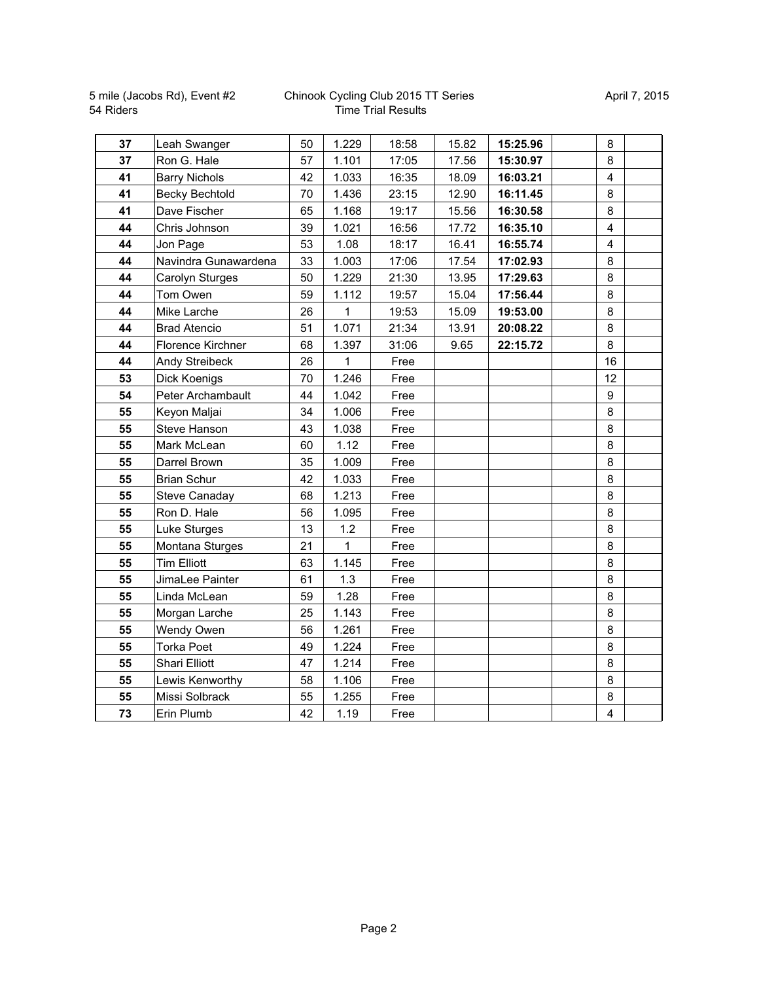| 37 | Leah Swanger          | 50 | 1.229 | 18:58 | 15.82 | 15:25.96 | 8                       |  |
|----|-----------------------|----|-------|-------|-------|----------|-------------------------|--|
| 37 | Ron G. Hale           | 57 | 1.101 | 17:05 | 17.56 | 15:30.97 | 8                       |  |
| 41 | <b>Barry Nichols</b>  | 42 | 1.033 | 16:35 | 18.09 | 16:03.21 | $\overline{\mathbf{4}}$ |  |
| 41 | <b>Becky Bechtold</b> | 70 | 1.436 | 23:15 | 12.90 | 16:11.45 | 8                       |  |
| 41 | Dave Fischer          | 65 | 1.168 | 19:17 | 15.56 | 16:30.58 | 8                       |  |
| 44 | Chris Johnson         | 39 | 1.021 | 16:56 | 17.72 | 16:35.10 | $\overline{4}$          |  |
| 44 | Jon Page              | 53 | 1.08  | 18:17 | 16.41 | 16:55.74 | $\overline{\mathbf{4}}$ |  |
| 44 | Navindra Gunawardena  | 33 | 1.003 | 17:06 | 17.54 | 17:02.93 | 8                       |  |
| 44 | Carolyn Sturges       | 50 | 1.229 | 21:30 | 13.95 | 17:29.63 | 8                       |  |
| 44 | Tom Owen              | 59 | 1.112 | 19:57 | 15.04 | 17:56.44 | 8                       |  |
| 44 | Mike Larche           | 26 | 1     | 19:53 | 15.09 | 19:53.00 | 8                       |  |
| 44 | <b>Brad Atencio</b>   | 51 | 1.071 | 21:34 | 13.91 | 20:08.22 | 8                       |  |
| 44 | Florence Kirchner     | 68 | 1.397 | 31:06 | 9.65  | 22:15.72 | 8                       |  |
| 44 | Andy Streibeck        | 26 | 1     | Free  |       |          | 16                      |  |
| 53 | <b>Dick Koenigs</b>   | 70 | 1.246 | Free  |       |          | 12                      |  |
| 54 | Peter Archambault     | 44 | 1.042 | Free  |       |          | $\boldsymbol{9}$        |  |
| 55 | Keyon Maljai          | 34 | 1.006 | Free  |       |          | 8                       |  |
| 55 | Steve Hanson          | 43 | 1.038 | Free  |       |          | 8                       |  |
| 55 | Mark McLean           | 60 | 1.12  | Free  |       |          | 8                       |  |
| 55 | Darrel Brown          | 35 | 1.009 | Free  |       |          | 8                       |  |
| 55 | <b>Brian Schur</b>    | 42 | 1.033 | Free  |       |          | 8                       |  |
| 55 | Steve Canaday         | 68 | 1.213 | Free  |       |          | 8                       |  |
| 55 | Ron D. Hale           | 56 | 1.095 | Free  |       |          | 8                       |  |
| 55 | Luke Sturges          | 13 | 1.2   | Free  |       |          | 8                       |  |
| 55 | Montana Sturges       | 21 | 1     | Free  |       |          | 8                       |  |
| 55 | <b>Tim Elliott</b>    | 63 | 1.145 | Free  |       |          | 8                       |  |
| 55 | JimaLee Painter       | 61 | 1.3   | Free  |       |          | 8                       |  |
| 55 | Linda McLean          | 59 | 1.28  | Free  |       |          | 8                       |  |
| 55 | Morgan Larche         | 25 | 1.143 | Free  |       |          | 8                       |  |
| 55 | Wendy Owen            | 56 | 1.261 | Free  |       |          | 8                       |  |
| 55 | <b>Torka Poet</b>     | 49 | 1.224 | Free  |       |          | 8                       |  |
| 55 | Shari Elliott         | 47 | 1.214 | Free  |       |          | 8                       |  |
| 55 | Lewis Kenworthy       | 58 | 1.106 | Free  |       |          | 8                       |  |
| 55 | Missi Solbrack        | 55 | 1.255 | Free  |       |          | 8                       |  |
| 73 | Erin Plumb            | 42 | 1.19  | Free  |       |          | $\overline{\mathbf{4}}$ |  |